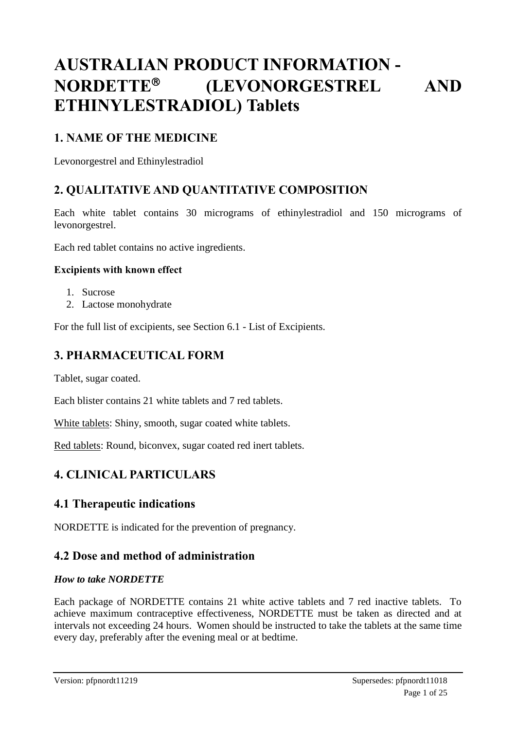# **AUSTRALIAN PRODUCT INFORMATION - NORDETTE (LEVONORGESTREL AND ETHINYLESTRADIOL) Tablets**

## **1. NAME OF THE MEDICINE**

Levonorgestrel and Ethinylestradiol

## **2. QUALITATIVE AND QUANTITATIVE COMPOSITION**

Each white tablet contains 30 micrograms of ethinylestradiol and 150 micrograms of levonorgestrel.

Each red tablet contains no active ingredients.

#### **Excipients with known effect**

- 1. Sucrose
- 2. Lactose monohydrate

For the full list of excipients, see Section 6.1 - List of Excipients.

## **3. PHARMACEUTICAL FORM**

Tablet, sugar coated.

Each blister contains 21 white tablets and 7 red tablets.

White tablets: Shiny, smooth, sugar coated white tablets.

Red tablets: Round, biconvex, sugar coated red inert tablets.

## **4. CLINICAL PARTICULARS**

## **4.1 Therapeutic indications**

NORDETTE is indicated for the prevention of pregnancy.

## **4.2 Dose and method of administration**

#### *How to take NORDETTE*

Each package of NORDETTE contains 21 white active tablets and 7 red inactive tablets. To achieve maximum contraceptive effectiveness, NORDETTE must be taken as directed and at intervals not exceeding 24 hours. Women should be instructed to take the tablets at the same time every day, preferably after the evening meal or at bedtime.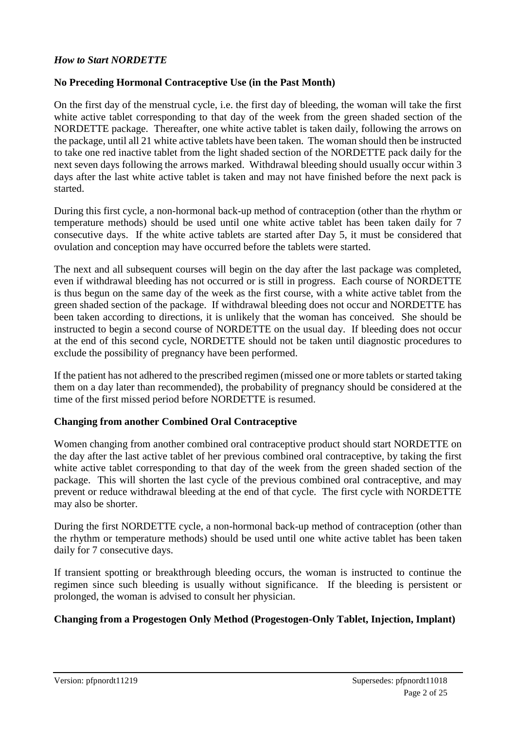#### *How to Start NORDETTE*

#### **No Preceding Hormonal Contraceptive Use (in the Past Month)**

On the first day of the menstrual cycle, i.e. the first day of bleeding, the woman will take the first white active tablet corresponding to that day of the week from the green shaded section of the NORDETTE package. Thereafter, one white active tablet is taken daily, following the arrows on the package, until all 21 white active tablets have been taken. The woman should then be instructed to take one red inactive tablet from the light shaded section of the NORDETTE pack daily for the next seven days following the arrows marked. Withdrawal bleeding should usually occur within 3 days after the last white active tablet is taken and may not have finished before the next pack is started.

During this first cycle, a non-hormonal back-up method of contraception (other than the rhythm or temperature methods) should be used until one white active tablet has been taken daily for 7 consecutive days. If the white active tablets are started after Day 5, it must be considered that ovulation and conception may have occurred before the tablets were started.

The next and all subsequent courses will begin on the day after the last package was completed, even if withdrawal bleeding has not occurred or is still in progress. Each course of NORDETTE is thus begun on the same day of the week as the first course, with a white active tablet from the green shaded section of the package. If withdrawal bleeding does not occur and NORDETTE has been taken according to directions, it is unlikely that the woman has conceived. She should be instructed to begin a second course of NORDETTE on the usual day. If bleeding does not occur at the end of this second cycle, NORDETTE should not be taken until diagnostic procedures to exclude the possibility of pregnancy have been performed.

If the patient has not adhered to the prescribed regimen (missed one or more tablets or started taking them on a day later than recommended), the probability of pregnancy should be considered at the time of the first missed period before NORDETTE is resumed.

#### **Changing from another Combined Oral Contraceptive**

Women changing from another combined oral contraceptive product should start NORDETTE on the day after the last active tablet of her previous combined oral contraceptive, by taking the first white active tablet corresponding to that day of the week from the green shaded section of the package. This will shorten the last cycle of the previous combined oral contraceptive, and may prevent or reduce withdrawal bleeding at the end of that cycle. The first cycle with NORDETTE may also be shorter.

During the first NORDETTE cycle, a non-hormonal back-up method of contraception (other than the rhythm or temperature methods) should be used until one white active tablet has been taken daily for 7 consecutive days.

If transient spotting or breakthrough bleeding occurs, the woman is instructed to continue the regimen since such bleeding is usually without significance. If the bleeding is persistent or prolonged, the woman is advised to consult her physician.

## **Changing from a Progestogen Only Method (Progestogen-Only Tablet, Injection, Implant)**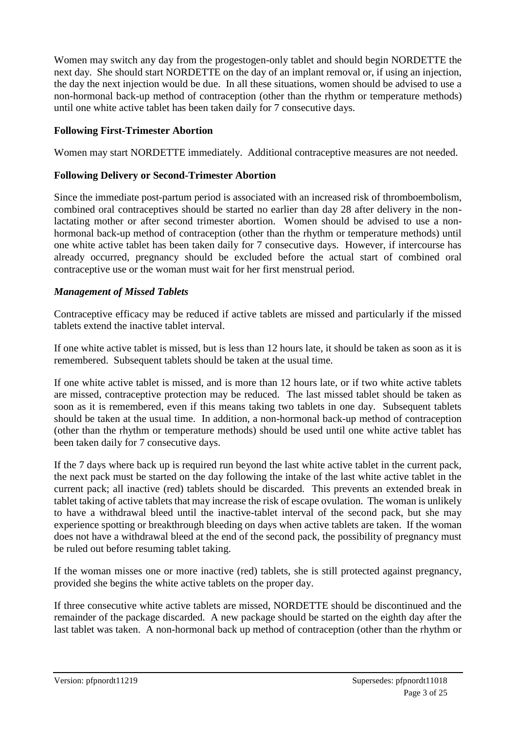Women may switch any day from the progestogen-only tablet and should begin NORDETTE the next day. She should start NORDETTE on the day of an implant removal or, if using an injection, the day the next injection would be due. In all these situations, women should be advised to use a non-hormonal back-up method of contraception (other than the rhythm or temperature methods) until one white active tablet has been taken daily for 7 consecutive days.

## **Following First-Trimester Abortion**

Women may start NORDETTE immediately. Additional contraceptive measures are not needed.

#### **Following Delivery or Second-Trimester Abortion**

Since the immediate post-partum period is associated with an increased risk of thromboembolism, combined oral contraceptives should be started no earlier than day 28 after delivery in the nonlactating mother or after second trimester abortion. Women should be advised to use a nonhormonal back-up method of contraception (other than the rhythm or temperature methods) until one white active tablet has been taken daily for 7 consecutive days. However, if intercourse has already occurred, pregnancy should be excluded before the actual start of combined oral contraceptive use or the woman must wait for her first menstrual period.

#### *Management of Missed Tablets*

Contraceptive efficacy may be reduced if active tablets are missed and particularly if the missed tablets extend the inactive tablet interval.

If one white active tablet is missed, but is less than 12 hours late, it should be taken as soon as it is remembered. Subsequent tablets should be taken at the usual time.

If one white active tablet is missed, and is more than 12 hours late, or if two white active tablets are missed, contraceptive protection may be reduced. The last missed tablet should be taken as soon as it is remembered, even if this means taking two tablets in one day. Subsequent tablets should be taken at the usual time. In addition, a non-hormonal back-up method of contraception (other than the rhythm or temperature methods) should be used until one white active tablet has been taken daily for 7 consecutive days.

If the 7 days where back up is required run beyond the last white active tablet in the current pack, the next pack must be started on the day following the intake of the last white active tablet in the current pack; all inactive (red) tablets should be discarded. This prevents an extended break in tablet taking of active tablets that may increase the risk of escape ovulation. The woman is unlikely to have a withdrawal bleed until the inactive-tablet interval of the second pack, but she may experience spotting or breakthrough bleeding on days when active tablets are taken. If the woman does not have a withdrawal bleed at the end of the second pack, the possibility of pregnancy must be ruled out before resuming tablet taking.

If the woman misses one or more inactive (red) tablets, she is still protected against pregnancy, provided she begins the white active tablets on the proper day.

If three consecutive white active tablets are missed, NORDETTE should be discontinued and the remainder of the package discarded. A new package should be started on the eighth day after the last tablet was taken. A non-hormonal back up method of contraception (other than the rhythm or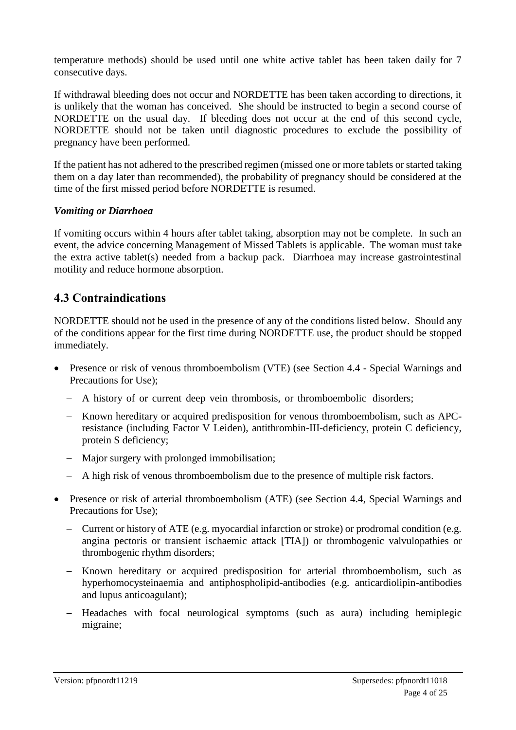temperature methods) should be used until one white active tablet has been taken daily for 7 consecutive days.

If withdrawal bleeding does not occur and NORDETTE has been taken according to directions, it is unlikely that the woman has conceived. She should be instructed to begin a second course of NORDETTE on the usual day. If bleeding does not occur at the end of this second cycle, NORDETTE should not be taken until diagnostic procedures to exclude the possibility of pregnancy have been performed.

If the patient has not adhered to the prescribed regimen (missed one or more tablets or started taking them on a day later than recommended), the probability of pregnancy should be considered at the time of the first missed period before NORDETTE is resumed.

#### *Vomiting or Diarrhoea*

If vomiting occurs within 4 hours after tablet taking, absorption may not be complete. In such an event, the advice concerning Management of Missed Tablets is applicable. The woman must take the extra active tablet(s) needed from a backup pack. Diarrhoea may increase gastrointestinal motility and reduce hormone absorption.

## **4.3 Contraindications**

NORDETTE should not be used in the presence of any of the conditions listed below. Should any of the conditions appear for the first time during NORDETTE use, the product should be stopped immediately.

- Presence or risk of venous thromboembolism (VTE) (see Section 4.4 Special Warnings and Precautions for Use);
	- A history of or current deep vein thrombosis, or thromboembolic disorders;
	- Known hereditary or acquired predisposition for venous thromboembolism, such as APCresistance (including Factor V Leiden), antithrombin-III-deficiency, protein C deficiency, protein S deficiency;
	- Major surgery with prolonged immobilisation;
	- A high risk of venous thromboembolism due to the presence of multiple risk factors.
- Presence or risk of arterial thromboembolism (ATE) (see Section 4.4, Special Warnings and Precautions for Use);
	- Current or history of ATE (e.g. myocardial infarction or stroke) or prodromal condition (e.g. angina pectoris or transient ischaemic attack [TIA]) or thrombogenic valvulopathies or thrombogenic rhythm disorders;
	- Known hereditary or acquired predisposition for arterial thromboembolism, such as hyperhomocysteinaemia and antiphospholipid-antibodies (e.g. anticardiolipin-antibodies and lupus anticoagulant);
	- Headaches with focal neurological symptoms (such as aura) including hemiplegic migraine;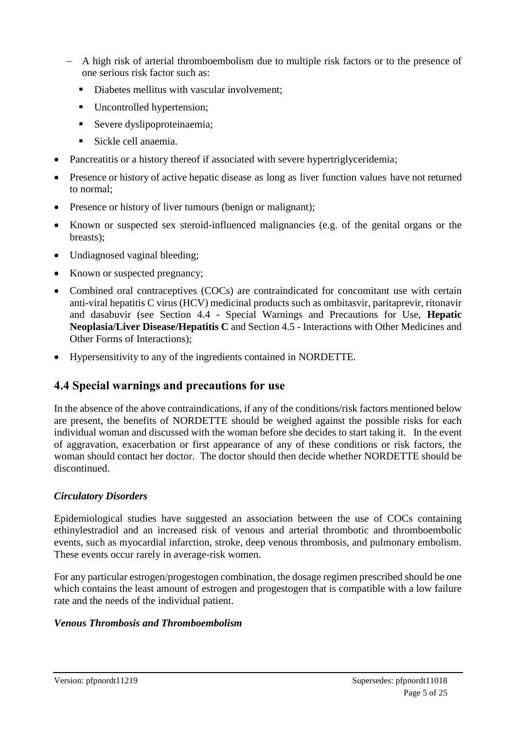- A high risk of arterial thromboembolism due to multiple risk factors or to the presence of one serious risk factor such as:
	- Diabetes mellitus with vascular involvement;
	- Uncontrolled hypertension;
	- Severe dyslipoproteinaemia:
	- Sickle cell anaemia.
- Pancreatitis or a history thereof if associated with severe hypertriglyceridemia;
- Presence or history of active hepatic disease as long as liver function values have not returned to normal;
- Presence or history of liver tumours (benign or malignant);
- Known or suspected sex steroid-influenced malignancies (e.g. of the genital organs or the breasts);
- Undiagnosed vaginal bleeding;
- Known or suspected pregnancy;
- Combined oral contraceptives (COCs) are contraindicated for concomitant use with certain anti-viral hepatitis C virus (HCV) medicinal products such as ombitasvir, paritaprevir, ritonavir and dasabuvir (see Section 4.4 - Special Warnings and Precautions for Use, **Hepatic Neoplasia/Liver Disease/Hepatitis C** and Section 4.5 - Interactions with Other Medicines and Other Forms of Interactions);
- Hypersensitivity to any of the ingredients contained in NORDETTE.

## **4.4 Special warnings and precautions for use**

In the absence of the above contraindications, if any of the conditions/risk factors mentioned below are present, the benefits of NORDETTE should be weighed against the possible risks for each individual woman and discussed with the woman before she decides to start taking it. In the event of aggravation, exacerbation or first appearance of any of these conditions or risk factors, the woman should contact her doctor. The doctor should then decide whether NORDETTE should be discontinued.

## *Circulatory Disorders*

Epidemiological studies have suggested an association between the use of COCs containing ethinylestradiol and an increased risk of venous and arterial thrombotic and thromboembolic events, such as myocardial infarction, stroke, deep venous thrombosis, and pulmonary embolism. These events occur rarely in average-risk women.

For any particular estrogen/progestogen combination, the dosage regimen prescribed should be one which contains the least amount of estrogen and progestogen that is compatible with a low failure rate and the needs of the individual patient.

## *Venous Thrombosis and Thromboembolism*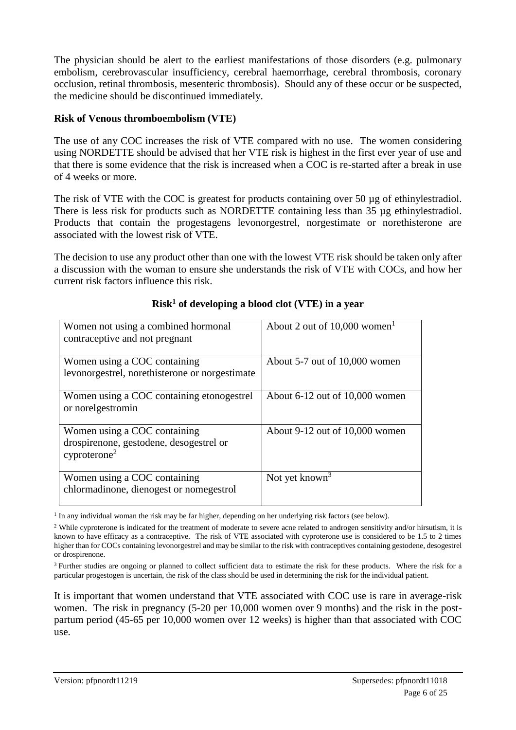The physician should be alert to the earliest manifestations of those disorders (e.g. pulmonary embolism, cerebrovascular insufficiency, cerebral haemorrhage, cerebral thrombosis, coronary occlusion, retinal thrombosis, mesenteric thrombosis). Should any of these occur or be suspected, the medicine should be discontinued immediately.

## **Risk of Venous thromboembolism (VTE)**

The use of any COC increases the risk of VTE compared with no use. The women considering using NORDETTE should be advised that her VTE risk is highest in the first ever year of use and that there is some evidence that the risk is increased when a COC is re-started after a break in use of 4 weeks or more.

The risk of VTE with the COC is greatest for products containing over 50 µg of ethinylestradiol. There is less risk for products such as NORDETTE containing less than 35 µg ethinylestradiol. Products that contain the progestagens levonorgestrel, norgestimate or norethisterone are associated with the lowest risk of VTE.

The decision to use any product other than one with the lowest VTE risk should be taken only after a discussion with the woman to ensure she understands the risk of VTE with COCs, and how her current risk factors influence this risk.

| Women not using a combined hormonal            | About 2 out of $10,000$ women <sup>1</sup> |
|------------------------------------------------|--------------------------------------------|
| contraceptive and not pregnant                 |                                            |
|                                                |                                            |
| Women using a COC containing                   | About 5-7 out of 10,000 women              |
| levonorgestrel, norethisterone or norgestimate |                                            |
|                                                |                                            |
| Women using a COC containing etonogestrel      | About $6-12$ out of $10,000$ women         |
| or norelgestromin                              |                                            |
|                                                |                                            |
| Women using a COC containing                   | About 9-12 out of 10,000 women             |
| drospirenone, gestodene, desogestrel or        |                                            |
| cyprotein <sup>2</sup>                         |                                            |
|                                                |                                            |
| Women using a COC containing                   | Not yet known <sup>3</sup>                 |
| chlormadinone, dienogest or nomegestrol        |                                            |
|                                                |                                            |

## **Risk<sup>1</sup> of developing a blood clot (VTE) in a year**

<sup>1</sup> In any individual woman the risk may be far higher, depending on her underlying risk factors (see below).

<sup>3</sup> Further studies are ongoing or planned to collect sufficient data to estimate the risk for these products. Where the risk for a particular progestogen is uncertain, the risk of the class should be used in determining the risk for the individual patient.

It is important that women understand that VTE associated with COC use is rare in average-risk women. The risk in pregnancy (5-20 per 10,000 women over 9 months) and the risk in the postpartum period (45-65 per 10,000 women over 12 weeks) is higher than that associated with COC use.

<sup>&</sup>lt;sup>2</sup> While cyproterone is indicated for the treatment of moderate to severe acne related to androgen sensitivity and/or hirsutism, it is known to have efficacy as a contraceptive. The risk of VTE associated with cyproterone use is considered to be 1.5 to 2 times higher than for COCs containing levonorgestrel and may be similar to the risk with contraceptives containing gestodene, desogestrel or drospirenone.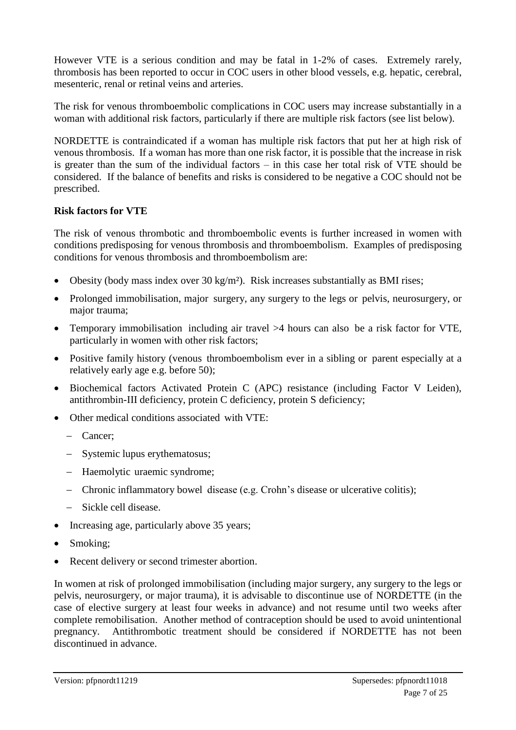However VTE is a serious condition and may be fatal in 1-2% of cases. Extremely rarely, thrombosis has been reported to occur in COC users in other blood vessels, e.g. hepatic, cerebral, mesenteric, renal or retinal veins and arteries.

The risk for venous thromboembolic complications in COC users may increase substantially in a woman with additional risk factors, particularly if there are multiple risk factors (see list below).

NORDETTE is contraindicated if a woman has multiple risk factors that put her at high risk of venous thrombosis. If a woman has more than one risk factor, it is possible that the increase in risk is greater than the sum of the individual factors – in this case her total risk of VTE should be considered. If the balance of benefits and risks is considered to be negative a COC should not be prescribed.

#### **Risk factors for VTE**

The risk of venous thrombotic and thromboembolic events is further increased in women with conditions predisposing for venous thrombosis and thromboembolism. Examples of predisposing conditions for venous thrombosis and thromboembolism are:

- Obesity (body mass index over 30 kg/m²). Risk increases substantially as BMI rises;
- Prolonged immobilisation, major surgery, any surgery to the legs or pelvis, neurosurgery, or major trauma;
- Temporary immobilisation including air travel >4 hours can also be a risk factor for VTE, particularly in women with other risk factors;
- Positive family history (venous thromboembolism ever in a sibling or parent especially at a relatively early age e.g. before 50);
- Biochemical factors Activated Protein C (APC) resistance (including Factor V Leiden), antithrombin-III deficiency, protein C deficiency, protein S deficiency;
- Other medical conditions associated with VTE:
	- Cancer;
	- Systemic lupus erythematosus;
	- Haemolytic uraemic syndrome;
	- Chronic inflammatory bowel disease (e.g. Crohn's disease or ulcerative colitis);
	- Sickle cell disease.
- Increasing age, particularly above 35 years;
- Smoking;
- Recent delivery or second trimester abortion.

In women at risk of prolonged immobilisation (including major surgery, any surgery to the legs or pelvis, neurosurgery, or major trauma), it is advisable to discontinue use of NORDETTE (in the case of elective surgery at least four weeks in advance) and not resume until two weeks after complete remobilisation. Another method of contraception should be used to avoid unintentional pregnancy. Antithrombotic treatment should be considered if NORDETTE has not been discontinued in advance.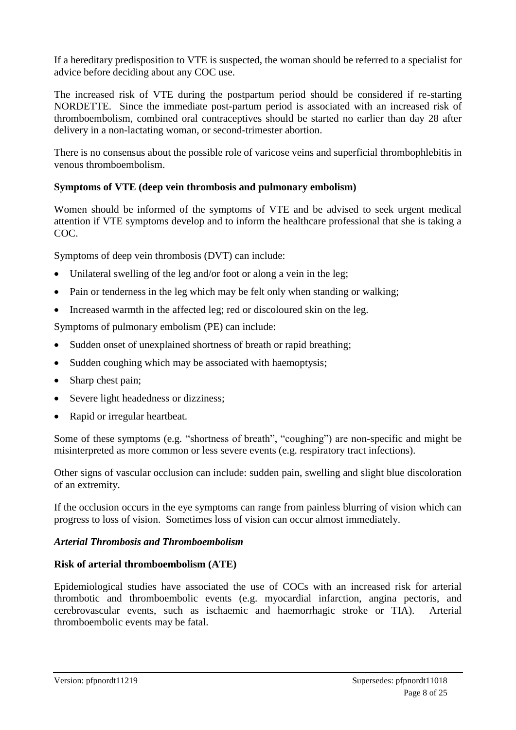If a hereditary predisposition to VTE is suspected, the woman should be referred to a specialist for advice before deciding about any COC use.

The increased risk of VTE during the postpartum period should be considered if re-starting NORDETTE. Since the immediate post-partum period is associated with an increased risk of thromboembolism, combined oral contraceptives should be started no earlier than day 28 after delivery in a non-lactating woman, or second-trimester abortion.

There is no consensus about the possible role of varicose veins and superficial thrombophlebitis in venous thromboembolism.

## **Symptoms of VTE (deep vein thrombosis and pulmonary embolism)**

Women should be informed of the symptoms of VTE and be advised to seek urgent medical attention if VTE symptoms develop and to inform the healthcare professional that she is taking a COC.

Symptoms of deep vein thrombosis (DVT) can include:

- Unilateral swelling of the leg and/or foot or along a vein in the leg;
- Pain or tenderness in the leg which may be felt only when standing or walking;
- Increased warmth in the affected leg; red or discoloured skin on the leg.

Symptoms of pulmonary embolism (PE) can include:

- Sudden onset of unexplained shortness of breath or rapid breathing;
- Sudden coughing which may be associated with haemoptysis;
- Sharp chest pain;
- Severe light headedness or dizziness;
- Rapid or irregular heartbeat.

Some of these symptoms (e.g. "shortness of breath", "coughing") are non-specific and might be misinterpreted as more common or less severe events (e.g. respiratory tract infections).

Other signs of vascular occlusion can include: sudden pain, swelling and slight blue discoloration of an extremity.

If the occlusion occurs in the eye symptoms can range from painless blurring of vision which can progress to loss of vision. Sometimes loss of vision can occur almost immediately.

#### *Arterial Thrombosis and Thromboembolism*

#### **Risk of arterial thromboembolism (ATE)**

Epidemiological studies have associated the use of COCs with an increased risk for arterial thrombotic and thromboembolic events (e.g. myocardial infarction, angina pectoris, and cerebrovascular events, such as ischaemic and haemorrhagic stroke or TIA). Arterial thromboembolic events may be fatal.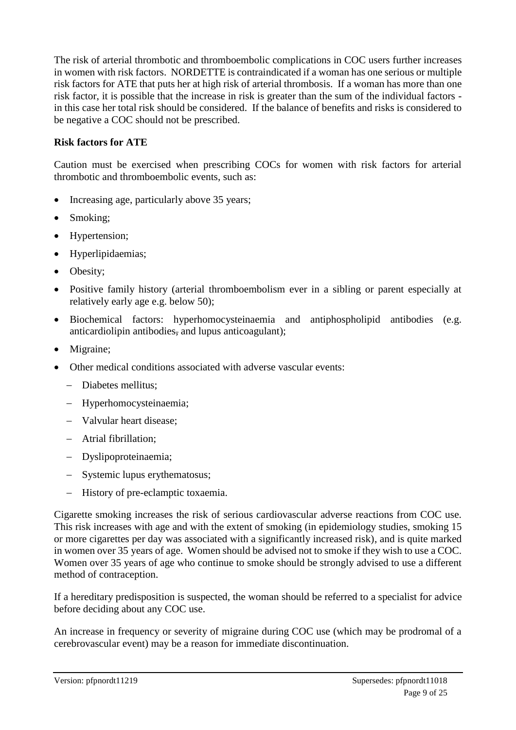The risk of arterial thrombotic and thromboembolic complications in COC users further increases in women with risk factors. NORDETTE is contraindicated if a woman has one serious or multiple risk factors for ATE that puts her at high risk of arterial thrombosis. If a woman has more than one risk factor, it is possible that the increase in risk is greater than the sum of the individual factors in this case her total risk should be considered. If the balance of benefits and risks is considered to be negative a COC should not be prescribed.

#### **Risk factors for ATE**

Caution must be exercised when prescribing COCs for women with risk factors for arterial thrombotic and thromboembolic events, such as:

- Increasing age, particularly above 35 years;
- Smoking;
- Hypertension;
- Hyperlipidaemias;
- Obesity;
- Positive family history (arterial thromboembolism ever in a sibling or parent especially at relatively early age e.g. below 50);
- Biochemical factors: hyperhomocysteinaemia and antiphospholipid antibodies (e.g. anticardiolipin antibodies, and lupus anticoagulant);
- Migraine;
- Other medical conditions associated with adverse vascular events:
	- Diabetes mellitus:
	- Hyperhomocysteinaemia;
	- Valvular heart disease:
	- Atrial fibrillation;
	- Dyslipoproteinaemia;
	- Systemic lupus erythematosus;
	- History of pre-eclamptic toxaemia.

Cigarette smoking increases the risk of serious cardiovascular adverse reactions from COC use. This risk increases with age and with the extent of smoking (in epidemiology studies, smoking 15 or more cigarettes per day was associated with a significantly increased risk), and is quite marked in women over 35 years of age. Women should be advised not to smoke if they wish to use a COC. Women over 35 years of age who continue to smoke should be strongly advised to use a different method of contraception.

If a hereditary predisposition is suspected, the woman should be referred to a specialist for advice before deciding about any COC use.

An increase in frequency or severity of migraine during COC use (which may be prodromal of a cerebrovascular event) may be a reason for immediate discontinuation.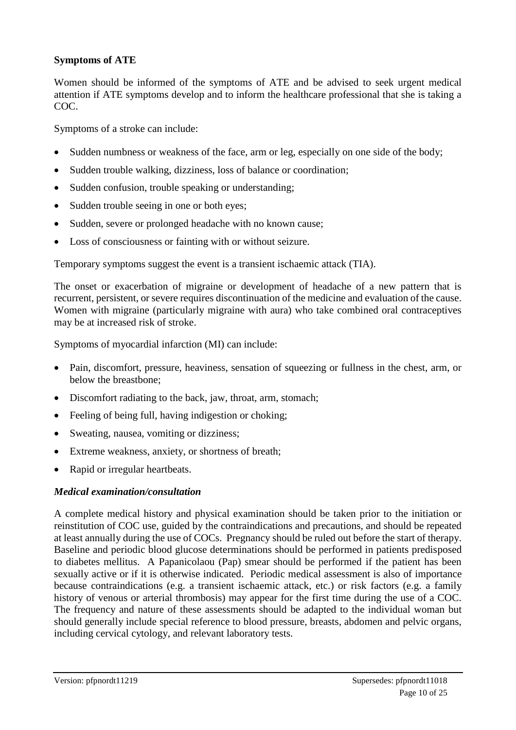#### **Symptoms of ATE**

Women should be informed of the symptoms of ATE and be advised to seek urgent medical attention if ATE symptoms develop and to inform the healthcare professional that she is taking a COC.

Symptoms of a stroke can include:

- Sudden numbness or weakness of the face, arm or leg, especially on one side of the body;
- Sudden trouble walking, dizziness, loss of balance or coordination;
- Sudden confusion, trouble speaking or understanding;
- Sudden trouble seeing in one or both eyes;
- Sudden, severe or prolonged headache with no known cause;
- Loss of consciousness or fainting with or without seizure.

Temporary symptoms suggest the event is a transient ischaemic attack (TIA).

The onset or exacerbation of migraine or development of headache of a new pattern that is recurrent, persistent, or severe requires discontinuation of the medicine and evaluation of the cause. Women with migraine (particularly migraine with aura) who take combined oral contraceptives may be at increased risk of stroke.

Symptoms of myocardial infarction (MI) can include:

- Pain, discomfort, pressure, heaviness, sensation of squeezing or fullness in the chest, arm, or below the breastbone;
- Discomfort radiating to the back, jaw, throat, arm, stomach;
- Feeling of being full, having indigestion or choking;
- Sweating, nausea, vomiting or dizziness;
- Extreme weakness, anxiety, or shortness of breath;
- Rapid or irregular heartbeats.

#### *Medical examination/consultation*

A complete medical history and physical examination should be taken prior to the initiation or reinstitution of COC use, guided by the contraindications and precautions, and should be repeated at least annually during the use of COCs. Pregnancy should be ruled out before the start of therapy. Baseline and periodic blood glucose determinations should be performed in patients predisposed to diabetes mellitus. A Papanicolaou (Pap) smear should be performed if the patient has been sexually active or if it is otherwise indicated. Periodic medical assessment is also of importance because contraindications (e.g. a transient ischaemic attack, etc.) or risk factors (e.g. a family history of venous or arterial thrombosis) may appear for the first time during the use of a COC. The frequency and nature of these assessments should be adapted to the individual woman but should generally include special reference to blood pressure, breasts, abdomen and pelvic organs, including cervical cytology, and relevant laboratory tests.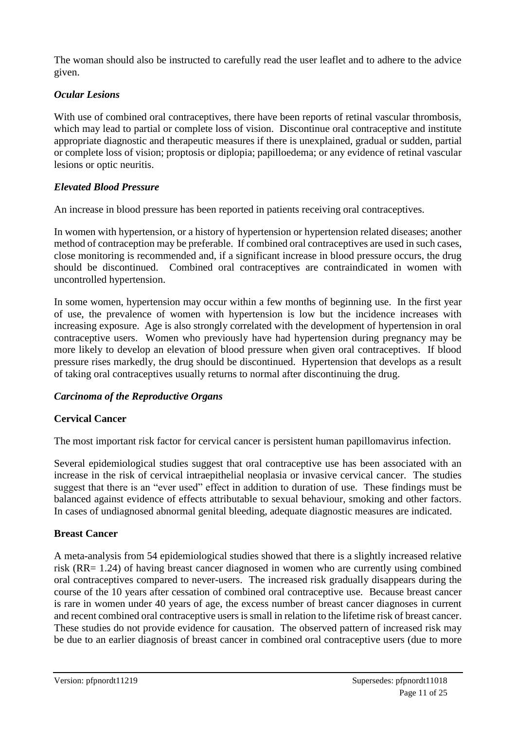The woman should also be instructed to carefully read the user leaflet and to adhere to the advice given.

## *Ocular Lesions*

With use of combined oral contraceptives, there have been reports of retinal vascular thrombosis, which may lead to partial or complete loss of vision. Discontinue oral contraceptive and institute appropriate diagnostic and therapeutic measures if there is unexplained, gradual or sudden, partial or complete loss of vision; proptosis or diplopia; papilloedema; or any evidence of retinal vascular lesions or optic neuritis.

## *Elevated Blood Pressure*

An increase in blood pressure has been reported in patients receiving oral contraceptives.

In women with hypertension, or a history of hypertension or hypertension related diseases; another method of contraception may be preferable. If combined oral contraceptives are used in such cases, close monitoring is recommended and, if a significant increase in blood pressure occurs, the drug should be discontinued. Combined oral contraceptives are contraindicated in women with uncontrolled hypertension.

In some women, hypertension may occur within a few months of beginning use. In the first year of use, the prevalence of women with hypertension is low but the incidence increases with increasing exposure. Age is also strongly correlated with the development of hypertension in oral contraceptive users. Women who previously have had hypertension during pregnancy may be more likely to develop an elevation of blood pressure when given oral contraceptives. If blood pressure rises markedly, the drug should be discontinued. Hypertension that develops as a result of taking oral contraceptives usually returns to normal after discontinuing the drug.

## *Carcinoma of the Reproductive Organs*

## **Cervical Cancer**

The most important risk factor for cervical cancer is persistent human papillomavirus infection.

Several epidemiological studies suggest that oral contraceptive use has been associated with an increase in the risk of cervical intraepithelial neoplasia or invasive cervical cancer. The studies suggest that there is an "ever used" effect in addition to duration of use. These findings must be balanced against evidence of effects attributable to sexual behaviour, smoking and other factors. In cases of undiagnosed abnormal genital bleeding, adequate diagnostic measures are indicated.

## **Breast Cancer**

A meta-analysis from 54 epidemiological studies showed that there is a slightly increased relative risk (RR= 1.24) of having breast cancer diagnosed in women who are currently using combined oral contraceptives compared to never-users. The increased risk gradually disappears during the course of the 10 years after cessation of combined oral contraceptive use. Because breast cancer is rare in women under 40 years of age, the excess number of breast cancer diagnoses in current and recent combined oral contraceptive users is small in relation to the lifetime risk of breast cancer. These studies do not provide evidence for causation. The observed pattern of increased risk may be due to an earlier diagnosis of breast cancer in combined oral contraceptive users (due to more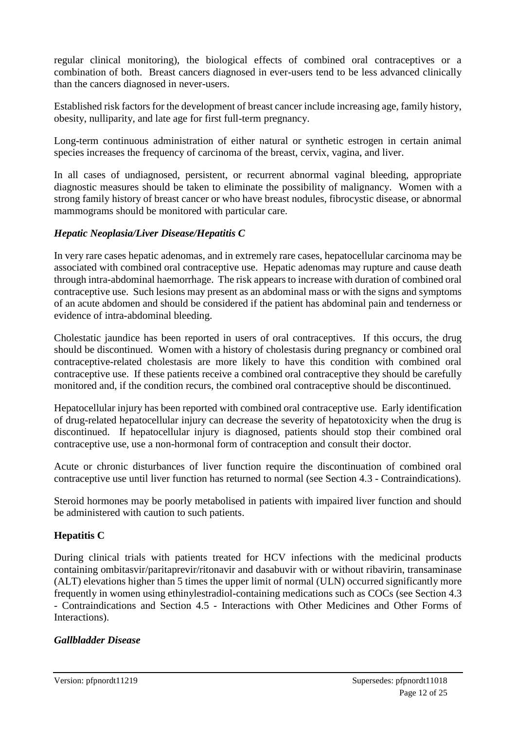regular clinical monitoring), the biological effects of combined oral contraceptives or a combination of both. Breast cancers diagnosed in ever-users tend to be less advanced clinically than the cancers diagnosed in never-users.

Established risk factors for the development of breast cancer include increasing age, family history, obesity, nulliparity, and late age for first full-term pregnancy.

Long-term continuous administration of either natural or synthetic estrogen in certain animal species increases the frequency of carcinoma of the breast, cervix, vagina, and liver.

In all cases of undiagnosed, persistent, or recurrent abnormal vaginal bleeding, appropriate diagnostic measures should be taken to eliminate the possibility of malignancy. Women with a strong family history of breast cancer or who have breast nodules, fibrocystic disease, or abnormal mammograms should be monitored with particular care.

## *Hepatic Neoplasia/Liver Disease/Hepatitis C*

In very rare cases hepatic adenomas, and in extremely rare cases, hepatocellular carcinoma may be associated with combined oral contraceptive use. Hepatic adenomas may rupture and cause death through intra-abdominal haemorrhage. The risk appears to increase with duration of combined oral contraceptive use. Such lesions may present as an abdominal mass or with the signs and symptoms of an acute abdomen and should be considered if the patient has abdominal pain and tenderness or evidence of intra-abdominal bleeding.

Cholestatic jaundice has been reported in users of oral contraceptives. If this occurs, the drug should be discontinued. Women with a history of cholestasis during pregnancy or combined oral contraceptive-related cholestasis are more likely to have this condition with combined oral contraceptive use. If these patients receive a combined oral contraceptive they should be carefully monitored and, if the condition recurs, the combined oral contraceptive should be discontinued.

Hepatocellular injury has been reported with combined oral contraceptive use. Early identification of drug-related hepatocellular injury can decrease the severity of hepatotoxicity when the drug is discontinued. If hepatocellular injury is diagnosed, patients should stop their combined oral contraceptive use, use a non-hormonal form of contraception and consult their doctor.

Acute or chronic disturbances of liver function require the discontinuation of combined oral contraceptive use until liver function has returned to normal (see Section 4.3 - Contraindications).

Steroid hormones may be poorly metabolised in patients with impaired liver function and should be administered with caution to such patients.

## **Hepatitis C**

During clinical trials with patients treated for HCV infections with the medicinal products containing ombitasvir/paritaprevir/ritonavir and dasabuvir with or without ribavirin, transaminase (ALT) elevations higher than 5 times the upper limit of normal (ULN) occurred significantly more frequently in women using ethinylestradiol-containing medications such as COCs (see Section 4.3 - Contraindications and Section 4.5 - Interactions with Other Medicines and Other Forms of Interactions).

## *Gallbladder Disease*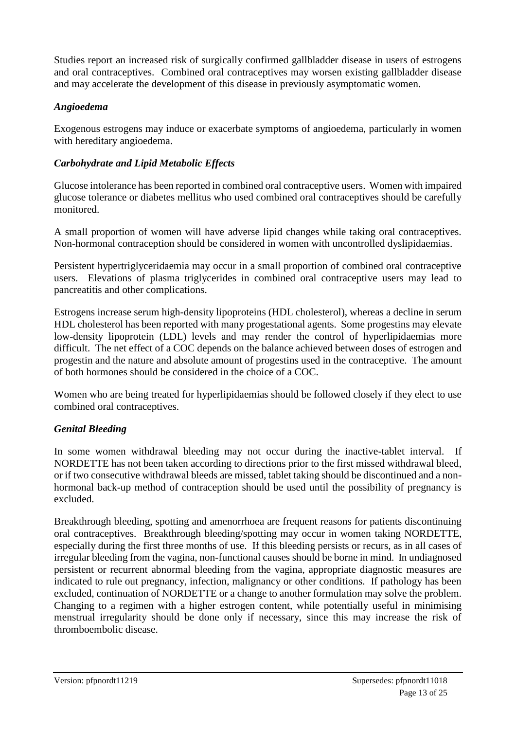Studies report an increased risk of surgically confirmed gallbladder disease in users of estrogens and oral contraceptives. Combined oral contraceptives may worsen existing gallbladder disease and may accelerate the development of this disease in previously asymptomatic women.

## *Angioedema*

Exogenous estrogens may induce or exacerbate symptoms of angioedema, particularly in women with hereditary angioedema.

## *Carbohydrate and Lipid Metabolic Effects*

Glucose intolerance has been reported in combined oral contraceptive users. Women with impaired glucose tolerance or diabetes mellitus who used combined oral contraceptives should be carefully monitored.

A small proportion of women will have adverse lipid changes while taking oral contraceptives. Non-hormonal contraception should be considered in women with uncontrolled dyslipidaemias.

Persistent hypertriglyceridaemia may occur in a small proportion of combined oral contraceptive users. Elevations of plasma triglycerides in combined oral contraceptive users may lead to pancreatitis and other complications.

Estrogens increase serum high-density lipoproteins (HDL cholesterol), whereas a decline in serum HDL cholesterol has been reported with many progestational agents. Some progestins may elevate low-density lipoprotein (LDL) levels and may render the control of hyperlipidaemias more difficult. The net effect of a COC depends on the balance achieved between doses of estrogen and progestin and the nature and absolute amount of progestins used in the contraceptive. The amount of both hormones should be considered in the choice of a COC.

Women who are being treated for hyperlipidaemias should be followed closely if they elect to use combined oral contraceptives.

## *Genital Bleeding*

In some women withdrawal bleeding may not occur during the inactive-tablet interval. If NORDETTE has not been taken according to directions prior to the first missed withdrawal bleed, or if two consecutive withdrawal bleeds are missed, tablet taking should be discontinued and a nonhormonal back-up method of contraception should be used until the possibility of pregnancy is excluded.

Breakthrough bleeding, spotting and amenorrhoea are frequent reasons for patients discontinuing oral contraceptives. Breakthrough bleeding/spotting may occur in women taking NORDETTE, especially during the first three months of use. If this bleeding persists or recurs, as in all cases of irregular bleeding from the vagina, non-functional causes should be borne in mind. In undiagnosed persistent or recurrent abnormal bleeding from the vagina, appropriate diagnostic measures are indicated to rule out pregnancy, infection, malignancy or other conditions. If pathology has been excluded, continuation of NORDETTE or a change to another formulation may solve the problem. Changing to a regimen with a higher estrogen content, while potentially useful in minimising menstrual irregularity should be done only if necessary, since this may increase the risk of thromboembolic disease.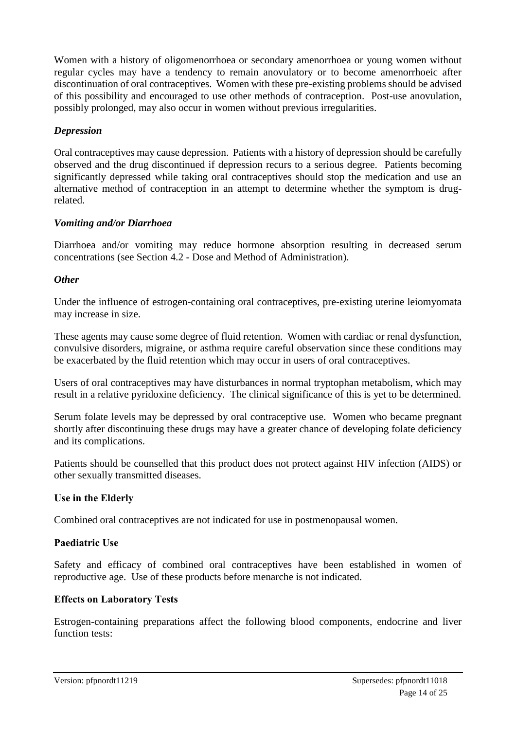Women with a history of oligomenorrhoea or secondary amenorrhoea or young women without regular cycles may have a tendency to remain anovulatory or to become amenorrhoeic after discontinuation of oral contraceptives. Women with these pre-existing problems should be advised of this possibility and encouraged to use other methods of contraception. Post-use anovulation, possibly prolonged, may also occur in women without previous irregularities.

## *Depression*

Oral contraceptives may cause depression. Patients with a history of depression should be carefully observed and the drug discontinued if depression recurs to a serious degree. Patients becoming significantly depressed while taking oral contraceptives should stop the medication and use an alternative method of contraception in an attempt to determine whether the symptom is drugrelated.

## *Vomiting and/or Diarrhoea*

Diarrhoea and/or vomiting may reduce hormone absorption resulting in decreased serum concentrations (see Section 4.2 - Dose and Method of Administration).

#### *Other*

Under the influence of estrogen-containing oral contraceptives, pre-existing uterine leiomyomata may increase in size.

These agents may cause some degree of fluid retention. Women with cardiac or renal dysfunction, convulsive disorders, migraine, or asthma require careful observation since these conditions may be exacerbated by the fluid retention which may occur in users of oral contraceptives.

Users of oral contraceptives may have disturbances in normal tryptophan metabolism, which may result in a relative pyridoxine deficiency. The clinical significance of this is yet to be determined.

Serum folate levels may be depressed by oral contraceptive use. Women who became pregnant shortly after discontinuing these drugs may have a greater chance of developing folate deficiency and its complications.

Patients should be counselled that this product does not protect against HIV infection (AIDS) or other sexually transmitted diseases.

## **Use in the Elderly**

Combined oral contraceptives are not indicated for use in postmenopausal women.

## **Paediatric Use**

Safety and efficacy of combined oral contraceptives have been established in women of reproductive age. Use of these products before menarche is not indicated.

## **Effects on Laboratory Tests**

Estrogen-containing preparations affect the following blood components, endocrine and liver function tests: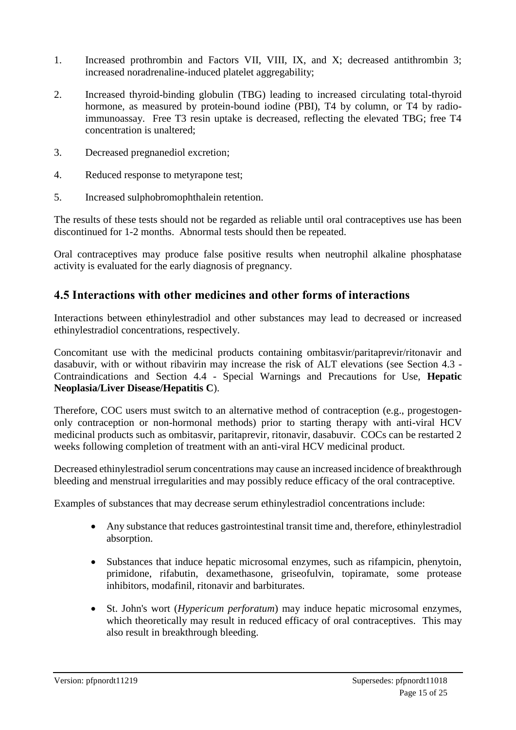- 1. Increased prothrombin and Factors VII, VIII, IX, and X; decreased antithrombin 3; increased noradrenaline-induced platelet aggregability;
- 2. Increased thyroid-binding globulin (TBG) leading to increased circulating total-thyroid hormone, as measured by protein-bound iodine (PBI), T4 by column, or T4 by radioimmunoassay. Free T3 resin uptake is decreased, reflecting the elevated TBG; free T4 concentration is unaltered;
- 3. Decreased pregnanediol excretion;
- 4. Reduced response to metyrapone test;
- 5. Increased sulphobromophthalein retention.

The results of these tests should not be regarded as reliable until oral contraceptives use has been discontinued for 1-2 months. Abnormal tests should then be repeated.

Oral contraceptives may produce false positive results when neutrophil alkaline phosphatase activity is evaluated for the early diagnosis of pregnancy.

## **4.5 Interactions with other medicines and other forms of interactions**

Interactions between ethinylestradiol and other substances may lead to decreased or increased ethinylestradiol concentrations, respectively.

Concomitant use with the medicinal products containing ombitasvir/paritaprevir/ritonavir and dasabuvir, with or without ribavirin may increase the risk of ALT elevations (see Section 4.3 - Contraindications and Section 4.4 - Special Warnings and Precautions for Use, **Hepatic Neoplasia/Liver Disease/Hepatitis C**).

Therefore, COC users must switch to an alternative method of contraception (e.g., progestogenonly contraception or non-hormonal methods) prior to starting therapy with anti-viral HCV medicinal products such as ombitasvir, paritaprevir, ritonavir, dasabuvir. COCs can be restarted 2 weeks following completion of treatment with an anti-viral HCV medicinal product.

Decreased ethinylestradiol serum concentrations may cause an increased incidence of breakthrough bleeding and menstrual irregularities and may possibly reduce efficacy of the oral contraceptive.

Examples of substances that may decrease serum ethinylestradiol concentrations include:

- Any substance that reduces gastrointestinal transit time and, therefore, ethinylestradiol absorption.
- Substances that induce hepatic microsomal enzymes, such as rifampicin, phenytoin, primidone, rifabutin, dexamethasone, griseofulvin, topiramate, some protease inhibitors, modafinil, ritonavir and barbiturates.
- St. John's wort (*Hypericum perforatum*) may induce hepatic microsomal enzymes, which theoretically may result in reduced efficacy of oral contraceptives. This may also result in breakthrough bleeding.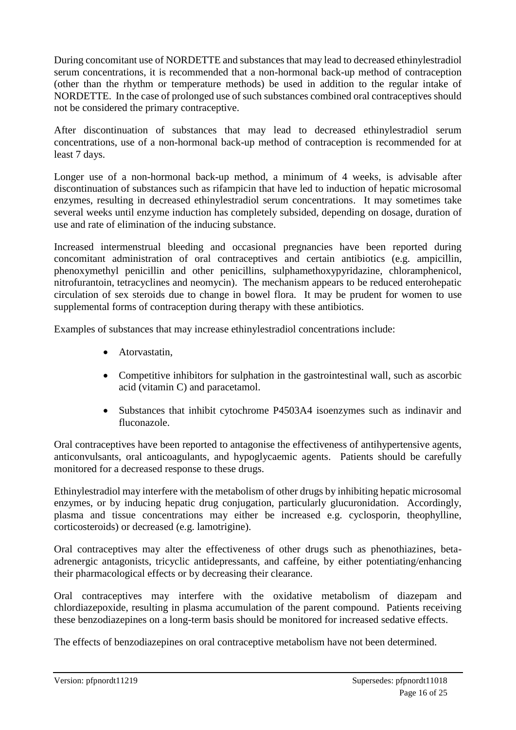During concomitant use of NORDETTE and substances that may lead to decreased ethinylestradiol serum concentrations, it is recommended that a non-hormonal back-up method of contraception (other than the rhythm or temperature methods) be used in addition to the regular intake of NORDETTE. In the case of prolonged use of such substances combined oral contraceptives should not be considered the primary contraceptive.

After discontinuation of substances that may lead to decreased ethinylestradiol serum concentrations, use of a non-hormonal back-up method of contraception is recommended for at least 7 days.

Longer use of a non-hormonal back-up method, a minimum of 4 weeks, is advisable after discontinuation of substances such as rifampicin that have led to induction of hepatic microsomal enzymes, resulting in decreased ethinylestradiol serum concentrations. It may sometimes take several weeks until enzyme induction has completely subsided, depending on dosage, duration of use and rate of elimination of the inducing substance.

Increased intermenstrual bleeding and occasional pregnancies have been reported during concomitant administration of oral contraceptives and certain antibiotics (e.g. ampicillin, phenoxymethyl penicillin and other penicillins, sulphamethoxypyridazine, chloramphenicol, nitrofurantoin, tetracyclines and neomycin). The mechanism appears to be reduced enterohepatic circulation of sex steroids due to change in bowel flora. It may be prudent for women to use supplemental forms of contraception during therapy with these antibiotics.

Examples of substances that may increase ethinylestradiol concentrations include:

- Atorvastatin,
- Competitive inhibitors for sulphation in the gastrointestinal wall, such as ascorbic acid (vitamin C) and paracetamol.
- Substances that inhibit cytochrome P4503A4 isoenzymes such as indinavir and fluconazole.

Oral contraceptives have been reported to antagonise the effectiveness of antihypertensive agents, anticonvulsants, oral anticoagulants, and hypoglycaemic agents. Patients should be carefully monitored for a decreased response to these drugs.

Ethinylestradiol may interfere with the metabolism of other drugs by inhibiting hepatic microsomal enzymes, or by inducing hepatic drug conjugation, particularly glucuronidation. Accordingly, plasma and tissue concentrations may either be increased e.g. cyclosporin, theophylline, corticosteroids) or decreased (e.g. lamotrigine).

Oral contraceptives may alter the effectiveness of other drugs such as phenothiazines, betaadrenergic antagonists, tricyclic antidepressants, and caffeine, by either potentiating/enhancing their pharmacological effects or by decreasing their clearance.

Oral contraceptives may interfere with the oxidative metabolism of diazepam and chlordiazepoxide, resulting in plasma accumulation of the parent compound. Patients receiving these benzodiazepines on a long-term basis should be monitored for increased sedative effects.

The effects of benzodiazepines on oral contraceptive metabolism have not been determined.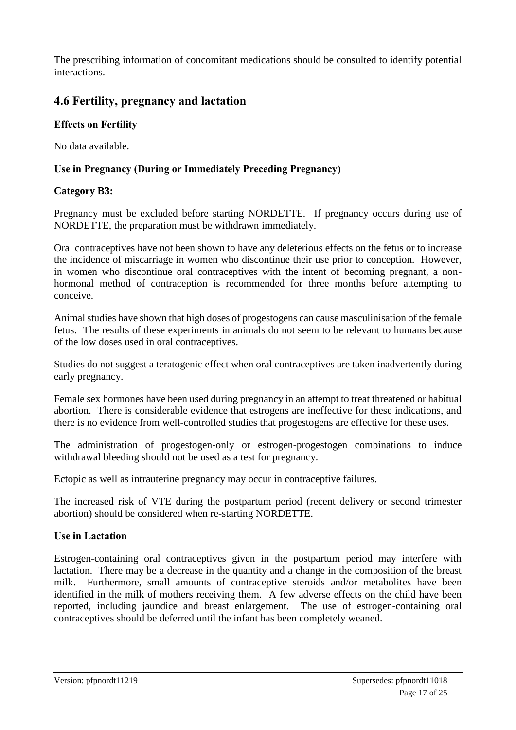The prescribing information of concomitant medications should be consulted to identify potential interactions.

## **4.6 Fertility, pregnancy and lactation**

#### **Effects on Fertility**

No data available.

#### **Use in Pregnancy (During or Immediately Preceding Pregnancy)**

#### **Category B3:**

Pregnancy must be excluded before starting NORDETTE. If pregnancy occurs during use of NORDETTE, the preparation must be withdrawn immediately.

Oral contraceptives have not been shown to have any deleterious effects on the fetus or to increase the incidence of miscarriage in women who discontinue their use prior to conception. However, in women who discontinue oral contraceptives with the intent of becoming pregnant, a nonhormonal method of contraception is recommended for three months before attempting to conceive.

Animal studies have shown that high doses of progestogens can cause masculinisation of the female fetus. The results of these experiments in animals do not seem to be relevant to humans because of the low doses used in oral contraceptives.

Studies do not suggest a teratogenic effect when oral contraceptives are taken inadvertently during early pregnancy.

Female sex hormones have been used during pregnancy in an attempt to treat threatened or habitual abortion. There is considerable evidence that estrogens are ineffective for these indications, and there is no evidence from well-controlled studies that progestogens are effective for these uses.

The administration of progestogen-only or estrogen-progestogen combinations to induce withdrawal bleeding should not be used as a test for pregnancy.

Ectopic as well as intrauterine pregnancy may occur in contraceptive failures.

The increased risk of VTE during the postpartum period (recent delivery or second trimester abortion) should be considered when re-starting NORDETTE.

#### **Use in Lactation**

Estrogen-containing oral contraceptives given in the postpartum period may interfere with lactation. There may be a decrease in the quantity and a change in the composition of the breast milk. Furthermore, small amounts of contraceptive steroids and/or metabolites have been identified in the milk of mothers receiving them. A few adverse effects on the child have been reported, including jaundice and breast enlargement. The use of estrogen-containing oral contraceptives should be deferred until the infant has been completely weaned.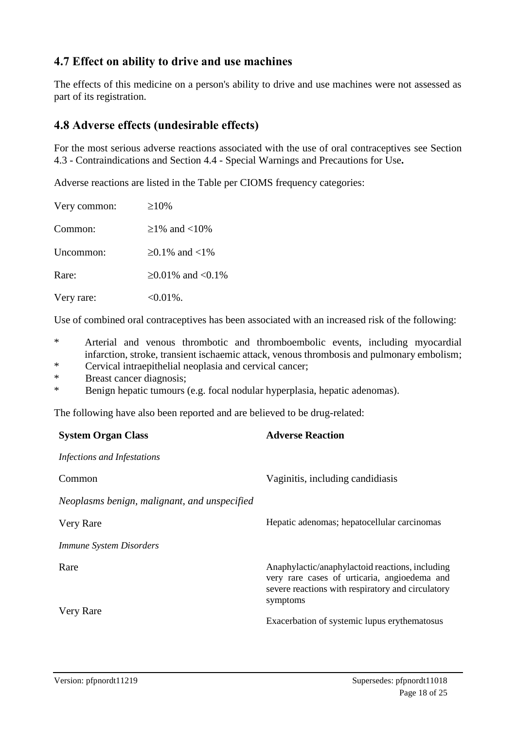## **4.7 Effect on ability to drive and use machines**

The effects of this medicine on a person's ability to drive and use machines were not assessed as part of its registration.

## **4.8 Adverse effects (undesirable effects)**

For the most serious adverse reactions associated with the use of oral contraceptives see Section 4.3 - Contraindications and Section 4.4 - Special Warnings and Precautions for Use**.**

Adverse reactions are listed in the Table per CIOMS frequency categories:

| Very common: | $\geq 10\%$                   |
|--------------|-------------------------------|
| Common:      | $>1\%$ and $<10\%$            |
| Uncommon:    | $>0.1\%$ and $<1\%$           |
| Rare:        | $\geq 0.01\%$ and $\lt 0.1\%$ |
| Very rare:   | $<0.01\%$ .                   |

Use of combined oral contraceptives has been associated with an increased risk of the following:

- \* Arterial and venous thrombotic and thromboembolic events, including myocardial infarction, stroke, transient ischaemic attack, venous thrombosis and pulmonary embolism;
- \* Cervical intraepithelial neoplasia and cervical cancer;
- Breast cancer diagnosis;
- \* Benign hepatic tumours (e.g. focal nodular hyperplasia, hepatic adenomas).

The following have also been reported and are believed to be drug-related:

| <b>System Organ Class</b>                    | <b>Adverse Reaction</b>                                                                                                                                          |
|----------------------------------------------|------------------------------------------------------------------------------------------------------------------------------------------------------------------|
| Infections and Infestations                  |                                                                                                                                                                  |
| Common                                       | Vaginitis, including candidiasis                                                                                                                                 |
| Neoplasms benign, malignant, and unspecified |                                                                                                                                                                  |
| Very Rare                                    | Hepatic adenomas; hepatocellular carcinomas                                                                                                                      |
| <b>Immune System Disorders</b>               |                                                                                                                                                                  |
| Rare                                         | Anaphylactic/anaphylactoid reactions, including<br>very rare cases of urticaria, angioedema and<br>severe reactions with respiratory and circulatory<br>symptoms |
| Very Rare                                    | Exacerbation of systemic lupus erythematosus                                                                                                                     |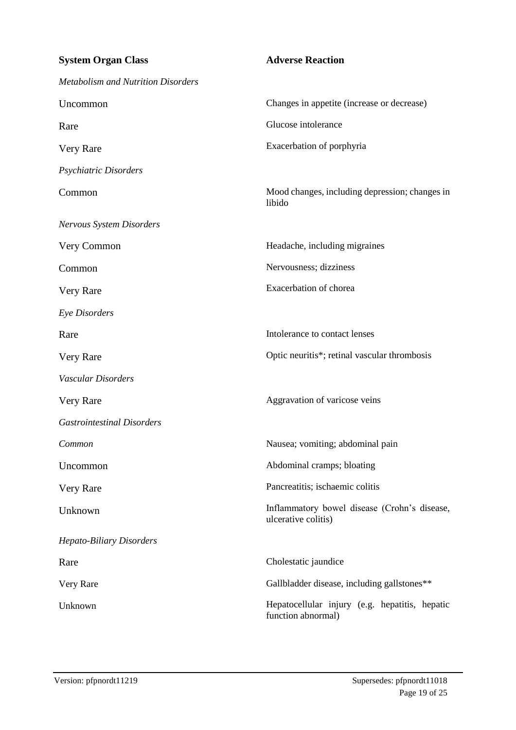| <b>System Organ Class</b>                 | <b>Adverse Reaction</b>                                              |
|-------------------------------------------|----------------------------------------------------------------------|
| <b>Metabolism and Nutrition Disorders</b> |                                                                      |
| Uncommon                                  | Changes in appetite (increase or decrease)                           |
| Rare                                      | Glucose intolerance                                                  |
| Very Rare                                 | Exacerbation of porphyria                                            |
| Psychiatric Disorders                     |                                                                      |
| Common                                    | Mood changes, including depression; changes in<br>libido             |
| <b>Nervous System Disorders</b>           |                                                                      |
| Very Common                               | Headache, including migraines                                        |
| Common                                    | Nervousness; dizziness                                               |
| Very Rare                                 | Exacerbation of chorea                                               |
| Eye Disorders                             |                                                                      |
| Rare                                      | Intolerance to contact lenses                                        |
| Very Rare                                 | Optic neuritis*; retinal vascular thrombosis                         |
| Vascular Disorders                        |                                                                      |
| Very Rare                                 | Aggravation of varicose veins                                        |
| <b>Gastrointestinal Disorders</b>         |                                                                      |
| Common                                    | Nausea; vomiting; abdominal pain                                     |
| Uncommon                                  | Abdominal cramps; bloating                                           |
| Very Rare                                 | Pancreatitis; ischaemic colitis                                      |
| Unknown                                   | Inflammatory bowel disease (Crohn's disease,<br>ulcerative colitis)  |
| <b>Hepato-Biliary Disorders</b>           |                                                                      |
| Rare                                      | Cholestatic jaundice                                                 |
| Very Rare                                 | Gallbladder disease, including gallstones**                          |
| Unknown                                   | Hepatocellular injury (e.g. hepatitis, hepatic<br>function abnormal) |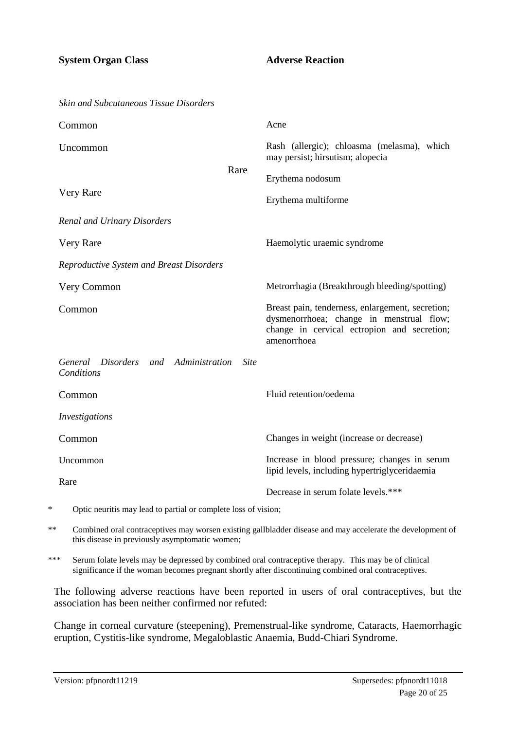| <b>Skin and Subcutaneous Tissue Disorders</b>                   |                                     |                                                                                                                                                            |
|-----------------------------------------------------------------|-------------------------------------|------------------------------------------------------------------------------------------------------------------------------------------------------------|
| Common                                                          |                                     | Acne                                                                                                                                                       |
| Uncommon                                                        |                                     | Rash (allergic); chloasma (melasma), which<br>may persist; hirsutism; alopecia                                                                             |
| Rare<br>Very Rare                                               |                                     | Erythema nodosum                                                                                                                                           |
|                                                                 |                                     | Erythema multiforme                                                                                                                                        |
| <b>Renal and Urinary Disorders</b>                              |                                     |                                                                                                                                                            |
| Very Rare                                                       |                                     | Haemolytic uraemic syndrome                                                                                                                                |
| Reproductive System and Breast Disorders                        |                                     |                                                                                                                                                            |
| Very Common                                                     |                                     | Metrorrhagia (Breakthrough bleeding/spotting)                                                                                                              |
| Common                                                          |                                     | Breast pain, tenderness, enlargement, secretion;<br>dysmenorrhoea; change in menstrual flow;<br>change in cervical ectropion and secretion;<br>amenorrhoea |
| and Administration<br><b>Disorders</b><br>General<br>Conditions | <b>Site</b>                         |                                                                                                                                                            |
| Common                                                          |                                     | Fluid retention/oedema                                                                                                                                     |
| <i>Investigations</i>                                           |                                     |                                                                                                                                                            |
| Common                                                          |                                     | Changes in weight (increase or decrease)                                                                                                                   |
| Uncommon                                                        |                                     | Increase in blood pressure; changes in serum<br>lipid levels, including hypertriglyceridaemia                                                              |
| Rare                                                            | Decrease in serum folate levels.*** |                                                                                                                                                            |

\* Optic neuritis may lead to partial or complete loss of vision;

\*\* Combined oral contraceptives may worsen existing gallbladder disease and may accelerate the development of this disease in previously asymptomatic women;

\*\*\* Serum folate levels may be depressed by combined oral contraceptive therapy. This may be of clinical significance if the woman becomes pregnant shortly after discontinuing combined oral contraceptives.

The following adverse reactions have been reported in users of oral contraceptives, but the association has been neither confirmed nor refuted:

Change in corneal curvature (steepening), Premenstrual-like syndrome, Cataracts, Haemorrhagic eruption, Cystitis-like syndrome, Megaloblastic Anaemia, Budd-Chiari Syndrome.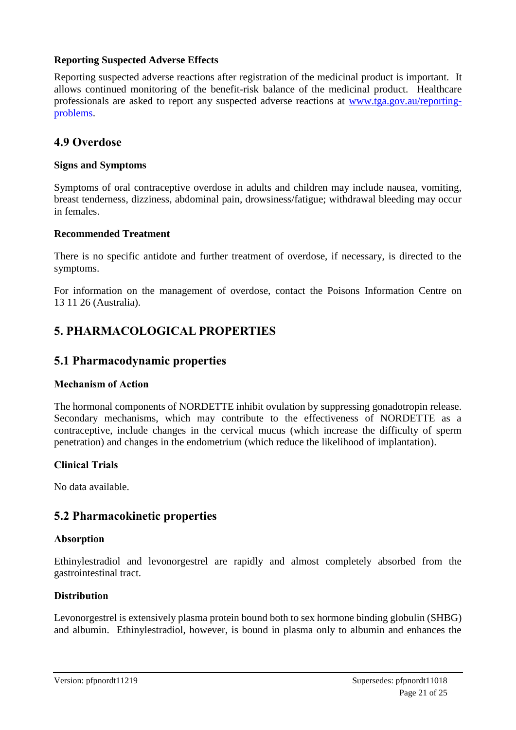#### **Reporting Suspected Adverse Effects**

Reporting suspected adverse reactions after registration of the medicinal product is important. It allows continued monitoring of the benefit-risk balance of the medicinal product. Healthcare professionals are asked to report any suspected adverse reactions at [www.tga.gov.au/reporting](http://www.tga.gov.au/reporting-problems)[problems.](http://www.tga.gov.au/reporting-problems)

## **4.9 Overdose**

#### **Signs and Symptoms**

Symptoms of oral contraceptive overdose in adults and children may include nausea, vomiting, breast tenderness, dizziness, abdominal pain, drowsiness/fatigue; withdrawal bleeding may occur in females.

#### **Recommended Treatment**

There is no specific antidote and further treatment of overdose, if necessary, is directed to the symptoms.

For information on the management of overdose, contact the Poisons Information Centre on 13 11 26 (Australia).

## **5. PHARMACOLOGICAL PROPERTIES**

## **5.1 Pharmacodynamic properties**

#### **Mechanism of Action**

The hormonal components of NORDETTE inhibit ovulation by suppressing gonadotropin release. Secondary mechanisms, which may contribute to the effectiveness of NORDETTE as a contraceptive, include changes in the cervical mucus (which increase the difficulty of sperm penetration) and changes in the endometrium (which reduce the likelihood of implantation).

#### **Clinical Trials**

No data available.

## **5.2 Pharmacokinetic properties**

#### **Absorption**

Ethinylestradiol and levonorgestrel are rapidly and almost completely absorbed from the gastrointestinal tract.

#### **Distribution**

Levonorgestrel is extensively plasma protein bound both to sex hormone binding globulin (SHBG) and albumin. Ethinylestradiol, however, is bound in plasma only to albumin and enhances the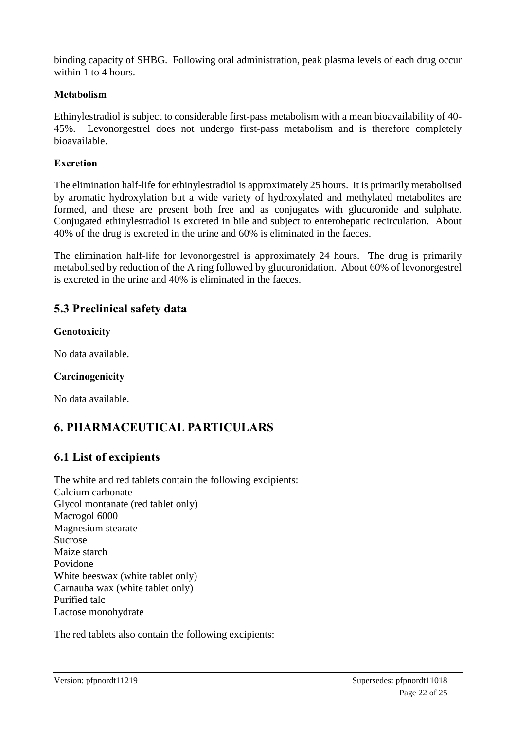binding capacity of SHBG. Following oral administration, peak plasma levels of each drug occur within 1 to 4 hours.

#### **Metabolism**

Ethinylestradiol is subject to considerable first-pass metabolism with a mean bioavailability of 40- 45%. Levonorgestrel does not undergo first-pass metabolism and is therefore completely bioavailable.

#### **Excretion**

The elimination half-life for ethinylestradiol is approximately 25 hours. It is primarily metabolised by aromatic hydroxylation but a wide variety of hydroxylated and methylated metabolites are formed, and these are present both free and as conjugates with glucuronide and sulphate. Conjugated ethinylestradiol is excreted in bile and subject to enterohepatic recirculation. About 40% of the drug is excreted in the urine and 60% is eliminated in the faeces.

The elimination half-life for levonorgestrel is approximately 24 hours. The drug is primarily metabolised by reduction of the A ring followed by glucuronidation. About 60% of levonorgestrel is excreted in the urine and 40% is eliminated in the faeces.

## **5.3 Preclinical safety data**

## **Genotoxicity**

No data available.

## **Carcinogenicity**

No data available.

## **6. PHARMACEUTICAL PARTICULARS**

## **6.1 List of excipients**

The white and red tablets contain the following excipients: Calcium carbonate Glycol montanate (red tablet only) Macrogol 6000 Magnesium stearate Sucrose Maize starch Povidone White beeswax (white tablet only) Carnauba wax (white tablet only) Purified talc Lactose monohydrate

The red tablets also contain the following excipients: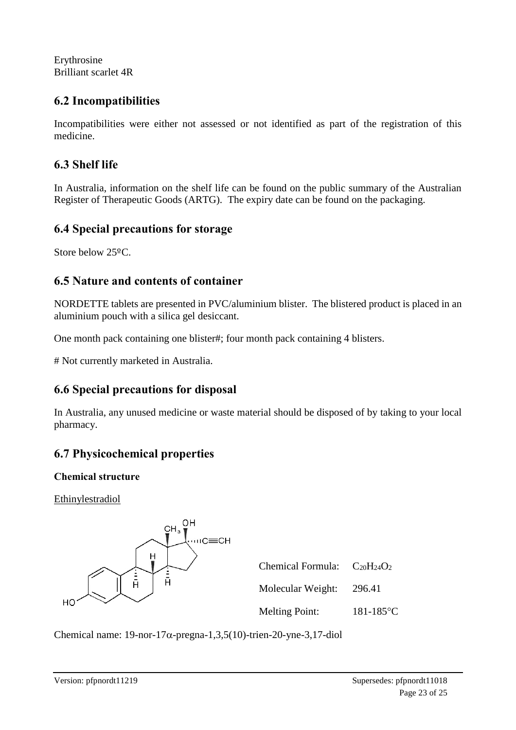Erythrosine Brilliant scarlet 4R

## **6.2 Incompatibilities**

Incompatibilities were either not assessed or not identified as part of the registration of this medicine.

## **6.3 Shelf life**

In Australia, information on the shelf life can be found on the public summary of the Australian Register of Therapeutic Goods (ARTG). The expiry date can be found on the packaging.

## **6.4 Special precautions for storage**

Store below 25ºC.

## **6.5 Nature and contents of container**

NORDETTE tablets are presented in PVC/aluminium blister. The blistered product is placed in an aluminium pouch with a silica gel desiccant.

One month pack containing one blister#; four month pack containing 4 blisters.

# Not currently marketed in Australia.

## **6.6 Special precautions for disposal**

In Australia, any unused medicine or waste material should be disposed of by taking to your local pharmacy.

## **6.7 Physicochemical properties**

## **Chemical structure**

**Ethinylestradiol** 



| Chemical Formula: $C_{20}H_{24}O_2$ |           |
|-------------------------------------|-----------|
| Molecular Weight:                   | 296.41    |
| <b>Melting Point:</b>               | 181-185°C |

Chemical name:  $19$ -nor- $17\alpha$ -pregna-1,3,5(10)-trien-20-yne-3,17-diol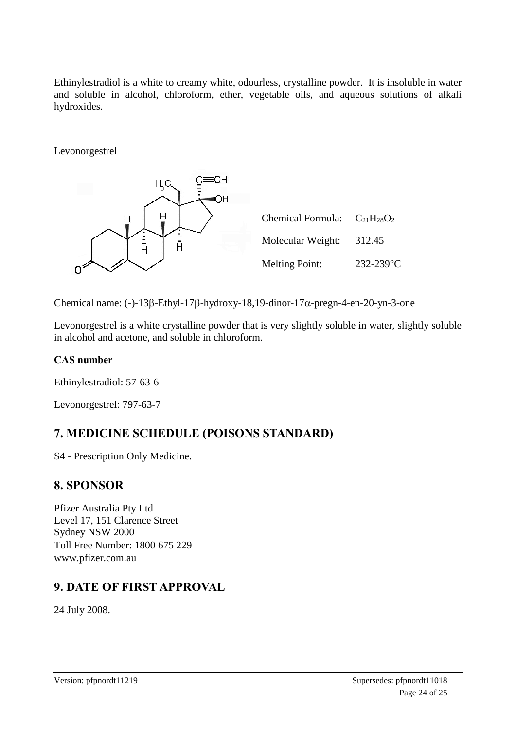Ethinylestradiol is a white to creamy white, odourless, crystalline powder. It is insoluble in water and soluble in alcohol, chloroform, ether, vegetable oils, and aqueous solutions of alkali hydroxides.

Levonorgestrel



Chemical name: (-)-13 $\beta$ -Ethyl-17 $\beta$ -hydroxy-18,19-dinor-17 $\alpha$ -pregn-4-en-20-yn-3-one

Levonorgestrel is a white crystalline powder that is very slightly soluble in water, slightly soluble in alcohol and acetone, and soluble in chloroform.

## **CAS number**

Ethinylestradiol: 57-63-6

Levonorgestrel: 797-63-7

## **7. MEDICINE SCHEDULE (POISONS STANDARD)**

S4 - Prescription Only Medicine.

## **8. SPONSOR**

Pfizer Australia Pty Ltd Level 17, 151 Clarence Street Sydney NSW 2000 Toll Free Number: 1800 675 229 www.pfizer.com.au

## **9. DATE OF FIRST APPROVAL**

24 July 2008.